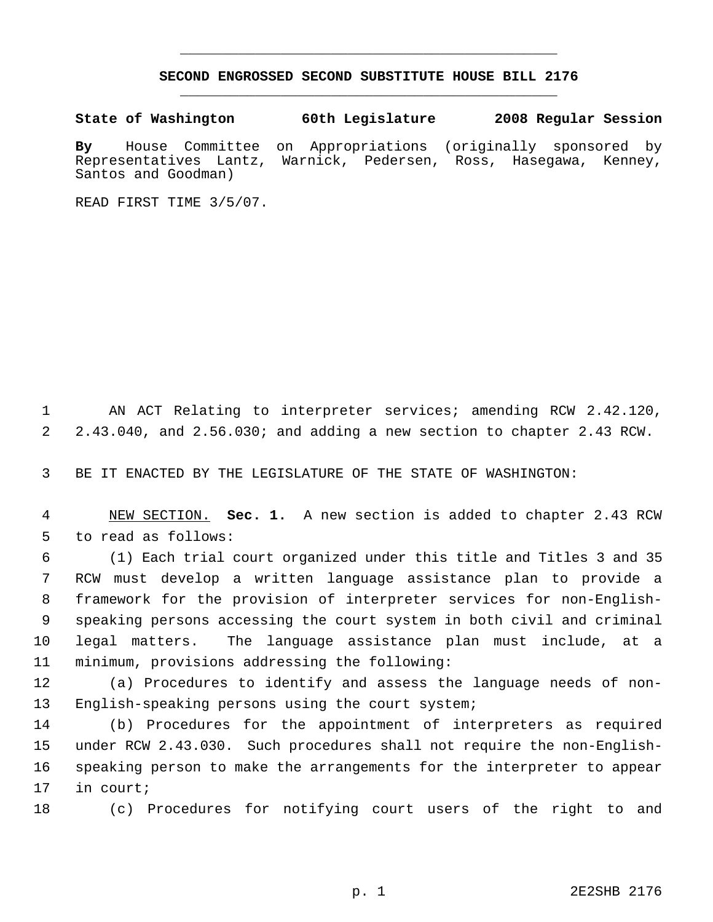## **SECOND ENGROSSED SECOND SUBSTITUTE HOUSE BILL 2176** \_\_\_\_\_\_\_\_\_\_\_\_\_\_\_\_\_\_\_\_\_\_\_\_\_\_\_\_\_\_\_\_\_\_\_\_\_\_\_\_\_\_\_\_\_

\_\_\_\_\_\_\_\_\_\_\_\_\_\_\_\_\_\_\_\_\_\_\_\_\_\_\_\_\_\_\_\_\_\_\_\_\_\_\_\_\_\_\_\_\_

**State of Washington 60th Legislature 2008 Regular Session**

**By** House Committee on Appropriations (originally sponsored by Representatives Lantz, Warnick, Pedersen, Ross, Hasegawa, Kenney, Santos and Goodman)

READ FIRST TIME 3/5/07.

 AN ACT Relating to interpreter services; amending RCW 2.42.120, 2.43.040, and 2.56.030; and adding a new section to chapter 2.43 RCW.

BE IT ENACTED BY THE LEGISLATURE OF THE STATE OF WASHINGTON:

 NEW SECTION. **Sec. 1.** A new section is added to chapter 2.43 RCW to read as follows:

 (1) Each trial court organized under this title and Titles 3 and 35 RCW must develop a written language assistance plan to provide a framework for the provision of interpreter services for non-English- speaking persons accessing the court system in both civil and criminal legal matters. The language assistance plan must include, at a minimum, provisions addressing the following:

 (a) Procedures to identify and assess the language needs of non-English-speaking persons using the court system;

 (b) Procedures for the appointment of interpreters as required under RCW 2.43.030. Such procedures shall not require the non-English- speaking person to make the arrangements for the interpreter to appear in court;

(c) Procedures for notifying court users of the right to and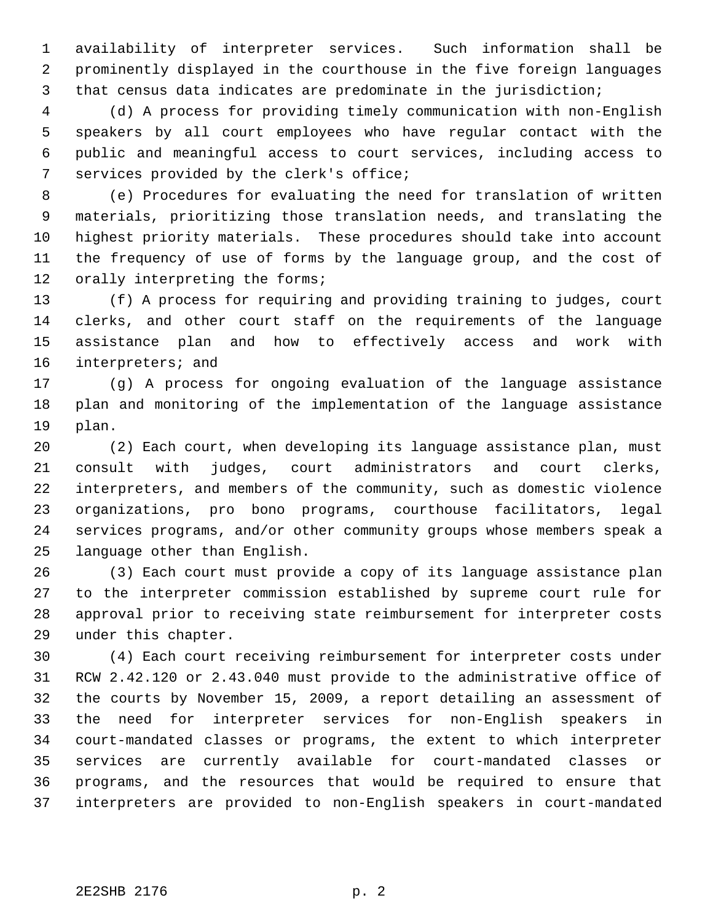availability of interpreter services. Such information shall be prominently displayed in the courthouse in the five foreign languages that census data indicates are predominate in the jurisdiction;

 (d) A process for providing timely communication with non-English speakers by all court employees who have regular contact with the public and meaningful access to court services, including access to services provided by the clerk's office;

 (e) Procedures for evaluating the need for translation of written materials, prioritizing those translation needs, and translating the highest priority materials. These procedures should take into account the frequency of use of forms by the language group, and the cost of 12 orally interpreting the forms;

 (f) A process for requiring and providing training to judges, court clerks, and other court staff on the requirements of the language assistance plan and how to effectively access and work with interpreters; and

 (g) A process for ongoing evaluation of the language assistance plan and monitoring of the implementation of the language assistance plan.

 (2) Each court, when developing its language assistance plan, must consult with judges, court administrators and court clerks, interpreters, and members of the community, such as domestic violence organizations, pro bono programs, courthouse facilitators, legal services programs, and/or other community groups whose members speak a language other than English.

 (3) Each court must provide a copy of its language assistance plan to the interpreter commission established by supreme court rule for approval prior to receiving state reimbursement for interpreter costs under this chapter.

 (4) Each court receiving reimbursement for interpreter costs under RCW 2.42.120 or 2.43.040 must provide to the administrative office of the courts by November 15, 2009, a report detailing an assessment of the need for interpreter services for non-English speakers in court-mandated classes or programs, the extent to which interpreter services are currently available for court-mandated classes or programs, and the resources that would be required to ensure that interpreters are provided to non-English speakers in court-mandated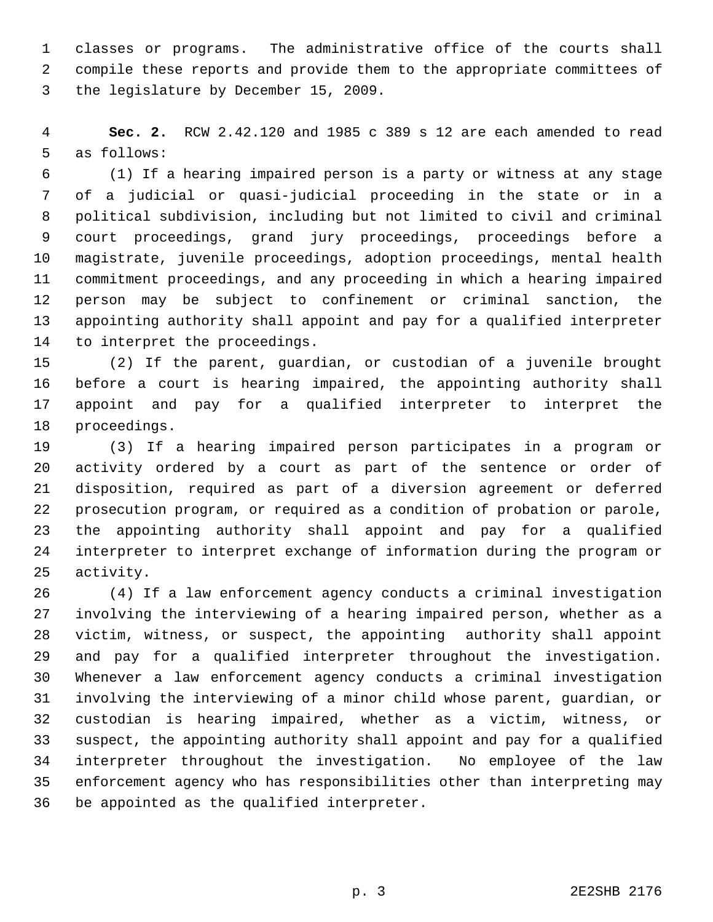classes or programs. The administrative office of the courts shall compile these reports and provide them to the appropriate committees of the legislature by December 15, 2009.

 **Sec. 2.** RCW 2.42.120 and 1985 c 389 s 12 are each amended to read as follows:

 (1) If a hearing impaired person is a party or witness at any stage of a judicial or quasi-judicial proceeding in the state or in a political subdivision, including but not limited to civil and criminal court proceedings, grand jury proceedings, proceedings before a magistrate, juvenile proceedings, adoption proceedings, mental health commitment proceedings, and any proceeding in which a hearing impaired person may be subject to confinement or criminal sanction, the appointing authority shall appoint and pay for a qualified interpreter to interpret the proceedings.

 (2) If the parent, guardian, or custodian of a juvenile brought before a court is hearing impaired, the appointing authority shall appoint and pay for a qualified interpreter to interpret the proceedings.

 (3) If a hearing impaired person participates in a program or activity ordered by a court as part of the sentence or order of disposition, required as part of a diversion agreement or deferred prosecution program, or required as a condition of probation or parole, the appointing authority shall appoint and pay for a qualified interpreter to interpret exchange of information during the program or activity.

 (4) If a law enforcement agency conducts a criminal investigation involving the interviewing of a hearing impaired person, whether as a victim, witness, or suspect, the appointing authority shall appoint and pay for a qualified interpreter throughout the investigation. Whenever a law enforcement agency conducts a criminal investigation involving the interviewing of a minor child whose parent, guardian, or custodian is hearing impaired, whether as a victim, witness, or suspect, the appointing authority shall appoint and pay for a qualified interpreter throughout the investigation. No employee of the law enforcement agency who has responsibilities other than interpreting may be appointed as the qualified interpreter.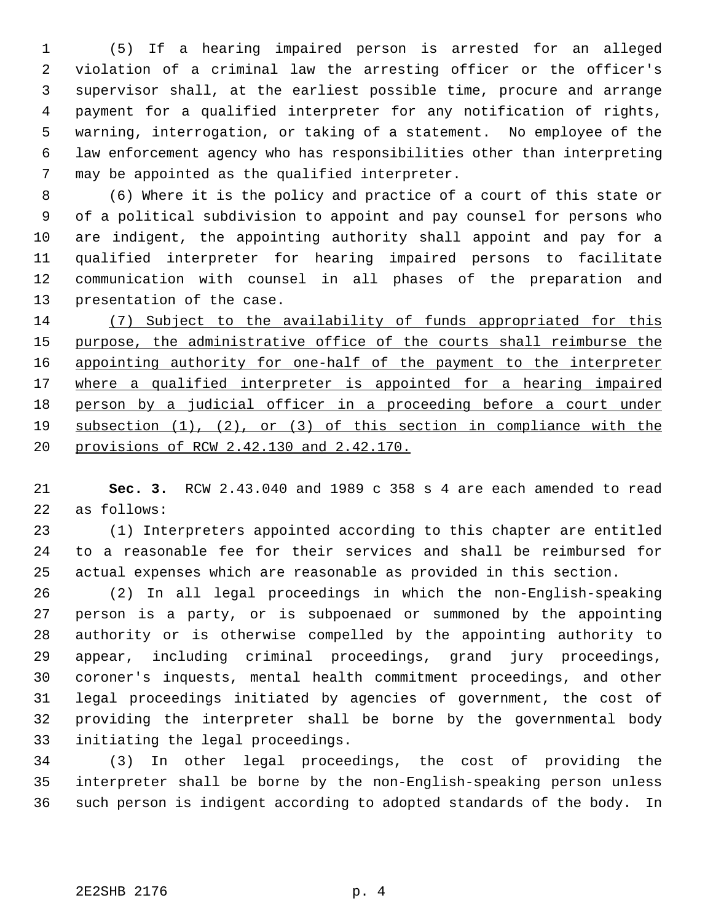(5) If a hearing impaired person is arrested for an alleged violation of a criminal law the arresting officer or the officer's supervisor shall, at the earliest possible time, procure and arrange payment for a qualified interpreter for any notification of rights, warning, interrogation, or taking of a statement. No employee of the law enforcement agency who has responsibilities other than interpreting may be appointed as the qualified interpreter.

 (6) Where it is the policy and practice of a court of this state or of a political subdivision to appoint and pay counsel for persons who are indigent, the appointing authority shall appoint and pay for a qualified interpreter for hearing impaired persons to facilitate communication with counsel in all phases of the preparation and presentation of the case.

 (7) Subject to the availability of funds appropriated for this 15 purpose, the administrative office of the courts shall reimburse the 16 appointing authority for one-half of the payment to the interpreter 17 where a qualified interpreter is appointed for a hearing impaired person by a judicial officer in a proceeding before a court under subsection (1), (2), or (3) of this section in compliance with the provisions of RCW 2.42.130 and 2.42.170.

 **Sec. 3.** RCW 2.43.040 and 1989 c 358 s 4 are each amended to read as follows:

 (1) Interpreters appointed according to this chapter are entitled to a reasonable fee for their services and shall be reimbursed for actual expenses which are reasonable as provided in this section.

 (2) In all legal proceedings in which the non-English-speaking person is a party, or is subpoenaed or summoned by the appointing authority or is otherwise compelled by the appointing authority to appear, including criminal proceedings, grand jury proceedings, coroner's inquests, mental health commitment proceedings, and other legal proceedings initiated by agencies of government, the cost of providing the interpreter shall be borne by the governmental body initiating the legal proceedings.

 (3) In other legal proceedings, the cost of providing the interpreter shall be borne by the non-English-speaking person unless such person is indigent according to adopted standards of the body. In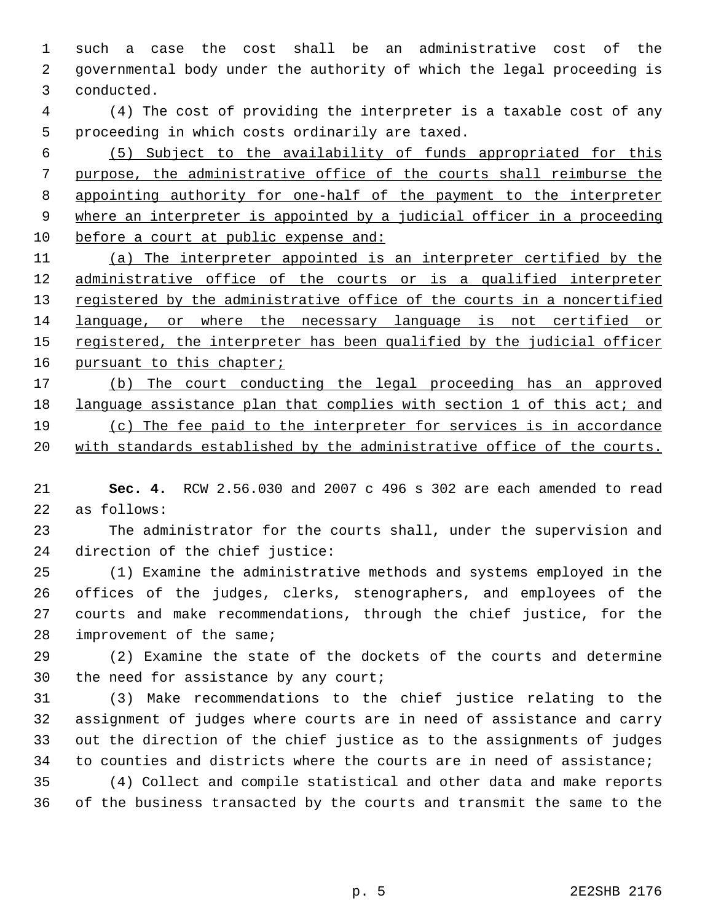such a case the cost shall be an administrative cost of the governmental body under the authority of which the legal proceeding is conducted.

 (4) The cost of providing the interpreter is a taxable cost of any proceeding in which costs ordinarily are taxed.

 (5) Subject to the availability of funds appropriated for this purpose, the administrative office of the courts shall reimburse the appointing authority for one-half of the payment to the interpreter where an interpreter is appointed by a judicial officer in a proceeding before a court at public expense and:

 (a) The interpreter appointed is an interpreter certified by the 12 administrative office of the courts or is a qualified interpreter 13 registered by the administrative office of the courts in a noncertified language, or where the necessary language is not certified or 15 registered, the interpreter has been qualified by the judicial officer 16 pursuant to this chapter;

 (b) The court conducting the legal proceeding has an approved 18 language assistance plan that complies with section 1 of this act; and (c) The fee paid to the interpreter for services is in accordance 20 with standards established by the administrative office of the courts.

 **Sec. 4.** RCW 2.56.030 and 2007 c 496 s 302 are each amended to read as follows:

 The administrator for the courts shall, under the supervision and direction of the chief justice:

 (1) Examine the administrative methods and systems employed in the offices of the judges, clerks, stenographers, and employees of the courts and make recommendations, through the chief justice, for the improvement of the same;

 (2) Examine the state of the dockets of the courts and determine the need for assistance by any court;

 (3) Make recommendations to the chief justice relating to the assignment of judges where courts are in need of assistance and carry out the direction of the chief justice as to the assignments of judges to counties and districts where the courts are in need of assistance;

 (4) Collect and compile statistical and other data and make reports of the business transacted by the courts and transmit the same to the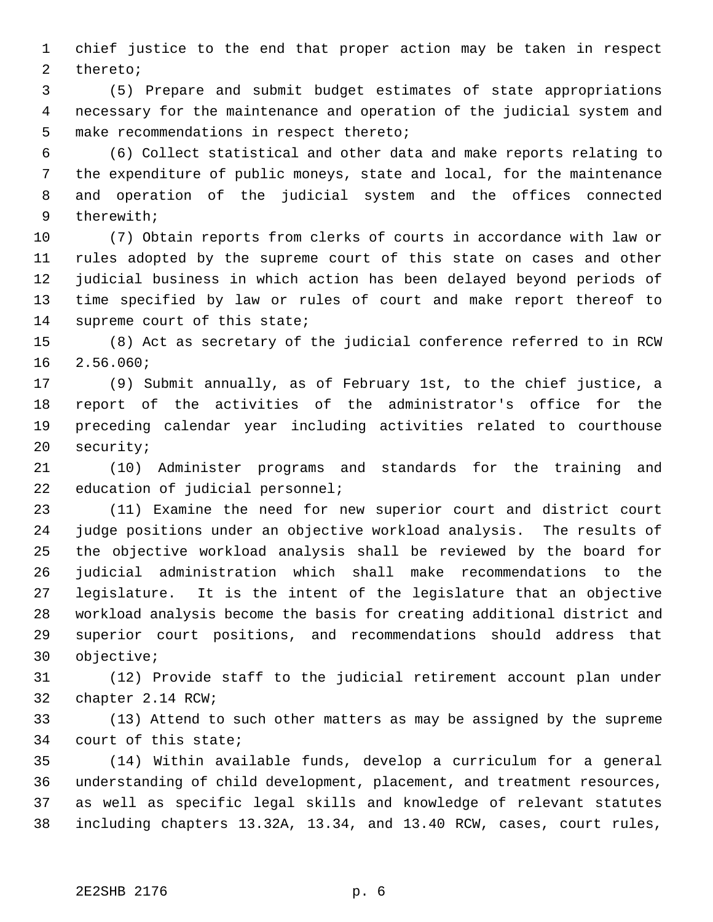chief justice to the end that proper action may be taken in respect thereto;

 (5) Prepare and submit budget estimates of state appropriations necessary for the maintenance and operation of the judicial system and make recommendations in respect thereto;

 (6) Collect statistical and other data and make reports relating to the expenditure of public moneys, state and local, for the maintenance and operation of the judicial system and the offices connected therewith;

 (7) Obtain reports from clerks of courts in accordance with law or rules adopted by the supreme court of this state on cases and other judicial business in which action has been delayed beyond periods of time specified by law or rules of court and make report thereof to supreme court of this state;

 (8) Act as secretary of the judicial conference referred to in RCW 2.56.060;

 (9) Submit annually, as of February 1st, to the chief justice, a report of the activities of the administrator's office for the preceding calendar year including activities related to courthouse security;

 (10) Administer programs and standards for the training and 22 education of judicial personnel;

 (11) Examine the need for new superior court and district court judge positions under an objective workload analysis. The results of the objective workload analysis shall be reviewed by the board for judicial administration which shall make recommendations to the legislature. It is the intent of the legislature that an objective workload analysis become the basis for creating additional district and superior court positions, and recommendations should address that objective;

 (12) Provide staff to the judicial retirement account plan under chapter 2.14 RCW;

 (13) Attend to such other matters as may be assigned by the supreme court of this state;

 (14) Within available funds, develop a curriculum for a general understanding of child development, placement, and treatment resources, as well as specific legal skills and knowledge of relevant statutes including chapters 13.32A, 13.34, and 13.40 RCW, cases, court rules,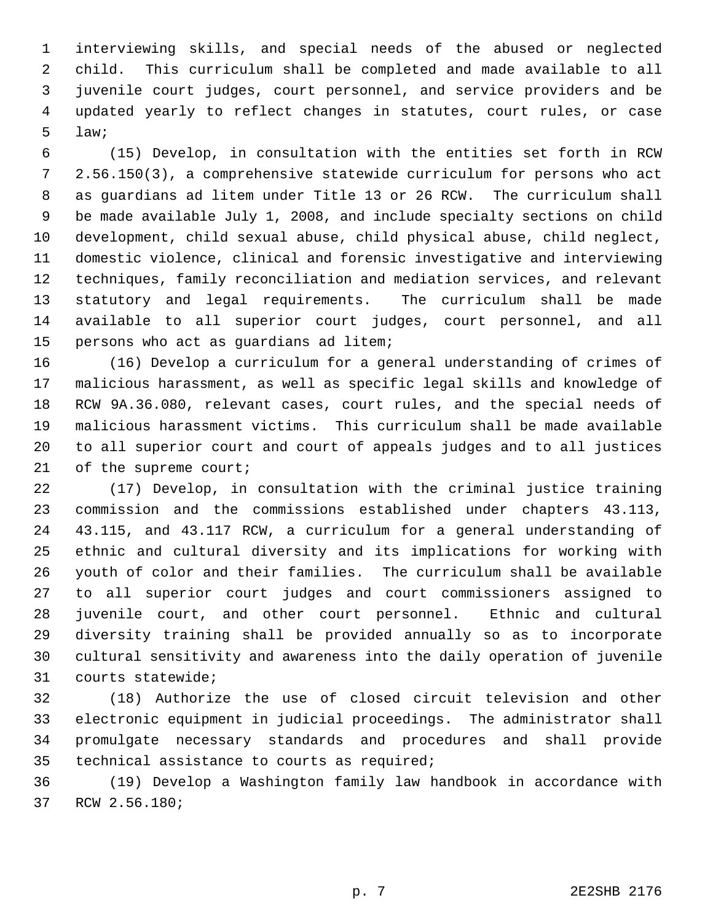interviewing skills, and special needs of the abused or neglected child. This curriculum shall be completed and made available to all juvenile court judges, court personnel, and service providers and be updated yearly to reflect changes in statutes, court rules, or case law;

 (15) Develop, in consultation with the entities set forth in RCW 2.56.150(3), a comprehensive statewide curriculum for persons who act as guardians ad litem under Title 13 or 26 RCW. The curriculum shall be made available July 1, 2008, and include specialty sections on child development, child sexual abuse, child physical abuse, child neglect, domestic violence, clinical and forensic investigative and interviewing techniques, family reconciliation and mediation services, and relevant statutory and legal requirements. The curriculum shall be made available to all superior court judges, court personnel, and all persons who act as guardians ad litem;

 (16) Develop a curriculum for a general understanding of crimes of malicious harassment, as well as specific legal skills and knowledge of RCW 9A.36.080, relevant cases, court rules, and the special needs of malicious harassment victims. This curriculum shall be made available to all superior court and court of appeals judges and to all justices 21 of the supreme court;

 (17) Develop, in consultation with the criminal justice training commission and the commissions established under chapters 43.113, 43.115, and 43.117 RCW, a curriculum for a general understanding of ethnic and cultural diversity and its implications for working with youth of color and their families. The curriculum shall be available to all superior court judges and court commissioners assigned to juvenile court, and other court personnel. Ethnic and cultural diversity training shall be provided annually so as to incorporate cultural sensitivity and awareness into the daily operation of juvenile courts statewide;

 (18) Authorize the use of closed circuit television and other electronic equipment in judicial proceedings. The administrator shall promulgate necessary standards and procedures and shall provide technical assistance to courts as required;

 (19) Develop a Washington family law handbook in accordance with RCW 2.56.180;